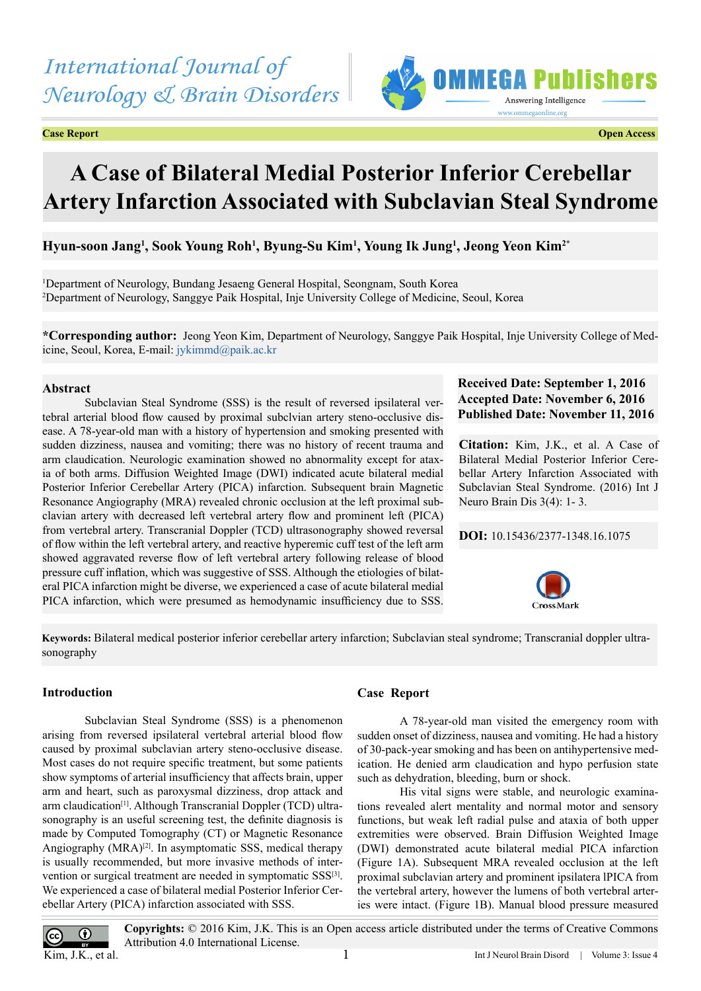*International Journal of Neurology & Brain Disorders*

**Case Report Open Access**



# **A Case of Bilateral Medial Posterior Inferior Cerebellar Artery Infarction Associated with Subclavian Steal Syndrome**

**Hyun-soon Jang1 , Sook Young Roh1 , Byung-Su Kim1 , Young Ik Jung1 , Jeong Yeon Kim2\***

1 Department of Neurology, Bundang Jesaeng General Hospital, Seongnam, South Korea 2 Department of Neurology, Sanggye Paik Hospital, Inje University College of Medicine, Seoul, Korea

**\*Corresponding author:** Jeong Yeon Kim, Department of Neurology, Sanggye Paik Hospital, Inje University College of Medicine, Seoul, Korea, E-mail: [jykimmd@paik.ac.kr](mailto:jykimmd@paik.ac.kr)

### **Abstract**

Subclavian Steal Syndrome (SSS) is the result of reversed ipsilateral vertebral arterial blood flow caused by proximal subclvian artery steno-occlusive disease. A 78-year-old man with a history of hypertension and smoking presented with sudden dizziness, nausea and vomiting; there was no history of recent trauma and arm claudication. Neurologic examination showed no abnormality except for ataxia of both arms. Diffusion Weighted Image (DWI) indicated acute bilateral medial Posterior Inferior Cerebellar Artery (PICA) infarction. Subsequent brain Magnetic Resonance Angiography (MRA) revealed chronic occlusion at the left proximal subclavian artery with decreased left vertebral artery flow and prominent left (PICA) from vertebral artery. Transcranial Doppler (TCD) ultrasonography showed reversal of flow within the left vertebral artery, and reactive hyperemic cuff test of the left arm showed aggravated reverse flow of left vertebral artery following release of blood pressure cuff inflation, which was suggestive of SSS. Although the etiologies of bilateral PICA infarction might be diverse, we experienced a case of acute bilateral medial PICA infarction, which were presumed as hemodynamic insufficiency due to SSS.

# **Received Date: September 1, 2016 Accepted Date: November 6, 2016 Published Date: November 11, 2016**

**Citation:** Kim, J.K., et al. A Case of Bilateral Medial Posterior Inferior Cerebellar Artery Infarction Associated with Subclavian Steal Syndrome. (2016) Int J Neuro Brain Dis 3(4): 1- 3.

## **DOI:** [10.15436/2377-1348.16.1](http://www.dx.doi.org/10.15436/2377-1348.16.1075
)075



**Keywords:** Bilateral medical posterior inferior cerebellar artery infarction; Subclavian steal syndrome; Transcranial doppler ultrasonography

# **Introduction**

Subclavian Steal Syndrome (SSS) is a phenomenon arising from reversed ipsilateral vertebral arterial blood flow caused by proximal subclavian artery steno-occlusive disease. Most cases do not require specific treatment, but some patients show symptoms of arterial insufficiency that affects brain, upper arm and heart, such as paroxysmal dizziness, drop attack and arm claudication[\[1\]](#page-2-0). Although Transcranial Doppler (TCD) ultrasonography is an useful screening test, the definite diagnosis is made by Computed Tomography (CT) or Magnetic Resonance Angiography (MRA)<sup>[\[2\]](#page-2-1)</sup>. In asymptomatic SSS, medical therapy is usually recommended, but more invasive methods of intervention or surgical treatment are needed in symptomatic SSS<sup>[3]</sup>. We experienced a case of bilateral medial Posterior Inferior Cerebellar Artery (PICA) infarction associated with SSS.

## **Case Report**

A 78-year-old man visited the emergency room with sudden onset of dizziness, nausea and vomiting. He had a history of 30-pack-year smoking and has been on antihypertensive medication. He denied arm claudication and hypo perfusion state such as dehydration, bleeding, burn or shock.

His vital signs were stable, and neurologic examinations revealed alert mentality and normal motor and sensory functions, but weak left radial pulse and ataxia of both upper extremities were observed. Brain Diffusion Weighted Image (DWI) demonstrated acute bilateral medial PICA infarction (Figure 1A). Subsequent MRA revealed occlusion at the left proximal subclavian artery and prominent ipsilatera lPICA from the vertebral artery, however the lumens of both vertebral arteries were intact. (Figure 1B). Manual blood pressure measured



**Copyrights:** © 2016 Kim, J.K. This is an Open access article distributed under the terms of Creative Commons Attribution 4.0 International License.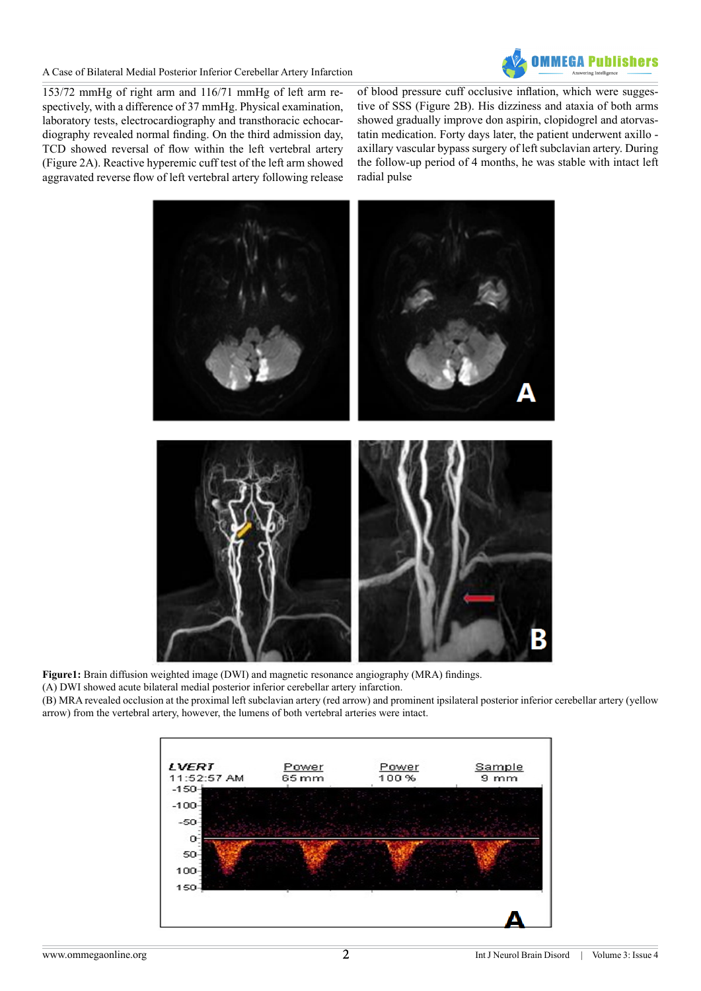A Case of Bilateral Medial Posterior Inferior Cerebellar Artery Infarction



153/72 mmHg of right arm and 116/71 mmHg of left arm respectively, with a difference of 37 mmHg. Physical examination, laboratory tests, electrocardiography and transthoracic echocardiography revealed normal finding. On the third admission day, TCD showed reversal of flow within the left vertebral artery (Figure 2A). Reactive hyperemic cuff test of the left arm showed aggravated reverse flow of left vertebral artery following release

of blood pressure cuff occlusive inflation, which were suggestive of SSS (Figure 2B). His dizziness and ataxia of both arms showed gradually improve don aspirin, clopidogrel and atorvastatin medication. Forty days later, the patient underwent axillo axillary vascular bypass surgery of left subclavian artery. During the follow-up period of 4 months, he was stable with intact left radial pulse



**Figure1:** Brain diffusion weighted image (DWI) and magnetic resonance angiography (MRA) findings. (A) DWI showed acute bilateral medial posterior inferior cerebellar artery infarction. (B) MRA revealed occlusion at the proximal left subclavian artery (red arrow) and prominent ipsilateral posterior inferior cerebellar artery (yellow arrow) from the vertebral artery, however, the lumens of both vertebral arteries were intact.